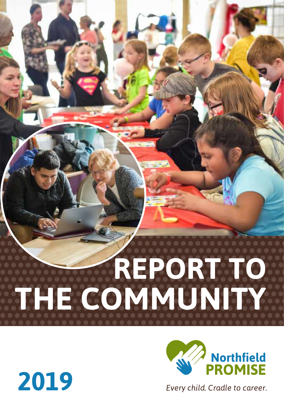## **REPORT TO THE COMMUNITY**



Every child. Cradle to career.

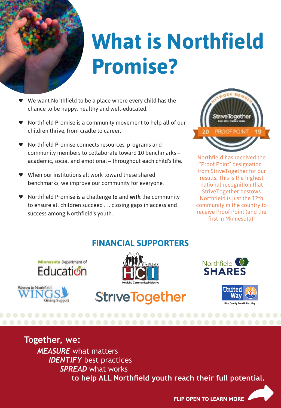

## **What is Northfield Promise?**

- We want Northfield to be a place where every child has the chance to be happy, healthy and well-educated.
- ♥ Northfield Promise is a community movement to help all of our children thrive, from cradle to career.
- ♥ Northfield Promise connects resources, programs and community members to collaborate toward 10 benchmarks – academic, social and emotional – throughout each child's life.
- When our institutions all work toward these shared benchmarks, we improve our community for everyone.
- ♥ Northfield Promise is a challenge *to* and *with* the community to ensure all children succeed . . . closing gaps in access and success among Northfield's youth.



Northfield has received the "Proof Point" designation from StriveTogether for our results. This is the highest national recognition that StriveTogether bestows. Northfield is just the 12th community in the country to receive Proof Point (and the first in Minnesota)!

#### **FINANCIAL SUPPORTERS**







**StriveTogether** 





#### **Together, we:**

*MEASURE* what matters *IDENTIFY* best practices *SPREAD* what works  **to help ALL Northfeld youth reach their full potential.**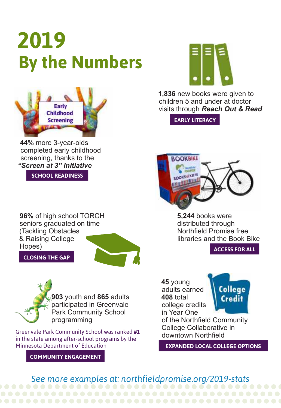## **2019 By the Numbers**



**44%** more 3-year-olds completed early childhood screening, thanks to the *"Screen at 3" initiative*

**SCHOOL READINESS**

**96%** of high school TORCH seniors graduated on time (Tackling Obstacles & Raising College Hopes)

**CLOSING THE GAP**



**1,836** new books were given to children 5 and under at doctor visits through *Reach Out & Read*

**EARLY LITERACY**



**5,244** books were distributed through Northfeld Promise free libraries and the Book Bike

**ACCESS FOR ALL**

**903** youth and **865** adults participated in Greenvale Park Community School programming

Greenvale Park Community School was ranked **#1** in the state among after-school programs by the Minnesota Department of Education

**COMMUNITY ENGAGEMENT**

**45** young adults earned **408** total college credits in Year One



of the Northfeld Community College Collaborative in downtown Northfeld

**EXPANDED LOCAL COLLEGE OPTIONS**

*See more examples at: northfieldpromise.org/2019-stats*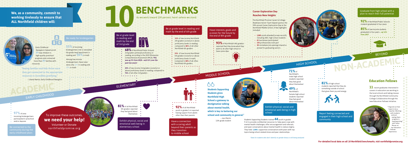**NON-ACADEMIC**

#### **We, as a community, commit to working tirelessly to ensure that ALL Northfield children will:**

# **benchmarks 10**

**92%**of all Northfield youth in grades 5–6 reported • having support from adults

. . . . . . . . . . . . .

As we work toward 100 percent, here's where we stand.



Have a connection with a caring adult beyond their parents as they transition to middle school

#### **55%** of incoming kindergartners met or exceeded

**97%** of area incoming kindergartners participated in preschool • and/or daycare

Be connected to the community during the other than their parents

**81%** of all Northfield 5th graders reported

they feel good about

themselves •

Exhibit physical, social and emotional well-being in elementary school

the grade-level benchmark in reading and **56%** in math



**92%** of Northfield Public Schools students graduated in four years

Among low-income kindergartners, these rates were only **33%** in reading and **37%** in math

. . . . . . . . . . . . . .

**85%** of low-income students graduated in four years – **up 12% from 2017**



. . . . . . . . . . . . . .

## **ACADEMIC** Elementary

## EARLY CHILDHOOD

#### beyond

### MIDDLE SCHOOL

**93%** of Northfield's 8th graders **•** reported that they know what they want to do after high school or

. . . . . . . . . . . . . .

Early Childhood Navigators helped enroll **49** new children in high-quality preschool programs and connected more than **80** families with resources.

- **6 52%** of low-income Northfield
- 6th graders scored at or above
- proficiency levels in reading,
- compared to **86%** of all other
- 

*Students Supporting Students* **gives Northfield High School a gateway to destigmatize talking about mental health, which is key to bettering our school and community in general."**

**68%** of Northfield Public Schools **68%** of Northfield Public Schools 3rd graders achieved proficiency in **•** reading, according to the 2019 Minnesota Comprehensive Assessment (MCA). **This was up 5% from 2018 – and 11% over the past two years!**

**43%** of low-income 3rd graders scored at or above proficiency levels in reading, compared to **76%** of all other 3rd graders

. . . . . . . . .

– Jess Martin 12th grade student

#### Exhibit physical, social and emotional well-being in high school

#### Graduate from high school with a plan to reach their full potential

**81%** of high school students reported that they do something outside of school that gives them joy and energy

*Students Supporting Students* trained **44** youth in grades 9-12 to provide confidential resources to: help peers cope with mental health challenges; offer encouragement and referrals; and open conversations about mental health to reduce stigma. They held **1,000+** supportive conversations with peers with top topics being school-related stress and peer relationships.

**25%** of low-income Northfield  $6$ th graders scored at or above **•** proficiency levels in math, compared to **68%** of all other

Have interests, goals and a vision for the future by the end of 8th grade

have some idea

 $\bullet$ 

#### Be at grade level in reading and math by the end of 6th grade

Be at grade level in reading and math by the end of 3rd grade



#### **Career Exploration Day Reaches New Heights**

The Northfield Promise Career & College Readiness Action Team helped sponsor the fifth annual Career Exploration Day at the Northfield Middle School. A few highlights included:

- • **1,005** youth attended (a new record!), including 300+ high school students
- • **61** businesses participated
- • **143** professionals took part
- • **30** immediate job openings shared or posted for graduating seniors



Report feeling connected and engaged in their high school and community

**11** recent graduates interested in careers in education are working in the local schools and taking classes through the Northfield Community College Collaborative through the new Education Fellows Initiative.



**"Seeing families and kids thrive once they get connected to the appropriate resources is incredibly gratifying."**



"I figured out that I want to be a teacher. Working with students and just seeing them progress is heartwarming," said Yailyn Moran on her Education Fellows experience.

Northfield 6th graders

. . . . . . . . . . . . . . .

**71%** of Northfield's male high school students reported they feel good about themselves\* **49%** of

HIGH SCHOOL

Northfield's female high school students reported they feel good about themselves\*

### To improve these outcomes, **we need your help!**

Volunteer or Donate northfieldpromise.org